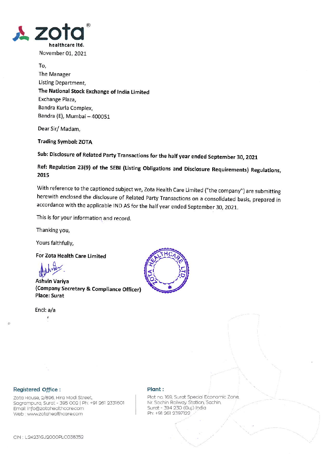

November 01, 2021

To, The Manager Listing Department, The National Stock Exchange of India Limited Exchange Plaza, Bandra Kurla Complex, Bandra (E), Mumbai - 400051

Dear Sir/ Madam,

**Trading Symbol: ZOTA** 

Sub: Disclosure of Related Party Transactions for the half year ended September 30, 2021

Ref: Regulation 23(9) of the SEBI (Listing Obligations and Disclosure Requirements) Regulations, 2015

With reference to the captioned subject we, Zota Health Care Limited ("the company") are submitting herewith enclosed the disclosure of Related Party Transactions on a consolidated basis, prepared in accordance with the applicable IND AS for the half year ended September 30, 2021.

This is for your information and record.

Thanking you,

Yours faithfully,

For Zota Health Care Limited

Ashvin Variya (Company Secretary & Compliance Officer) **Place: Surat** 

Encl: a/a

ť



#### Registered Office :

Zota House, 2/896, Hira Modi Street, Sagrampura, Surat - 395 002 | Ph: +91 261 2331601 Email: info@zotahealthcare.com Web: www.zotahealthcare.com

#### Plant:

Plot no. 169, Surat Special Economic Zone, Nr. Sachin Railway Station, Sachin, Surat - 394 230 (Guj.) India Ph: +91 261 2397122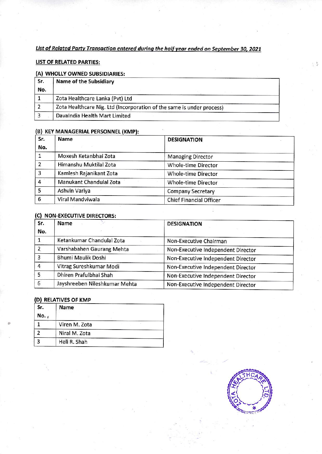## List of Related Party Transaction entered during the half year ended on September 30, 2021

### LIST OF RELATED PARTIES:

### WHOLLY OWNED SUBSIDIARIES:

| Sr.<br>No. | <b>Name of the Subsidiary</b>                                         |  |
|------------|-----------------------------------------------------------------------|--|
|            | Zota Healthcare Lanka (Pvt) Ltd                                       |  |
|            | Zota Healthcare Nig. Ltd (Incorporation of the same is under process) |  |
|            | DavaIndia Health Mart Limited                                         |  |

#### (B) KEY MANAGERIAL PERSONNEL (KMP):

| Sr. | Name                    | <b>DESIGNATION</b>             |  |
|-----|-------------------------|--------------------------------|--|
| No. |                         |                                |  |
|     | Moxesh Ketanbhai Zota   | <b>Managing Director</b>       |  |
| 2   | Himanshu Muktilal Zota  | Whole-time Director            |  |
| 3   | Kamlesh Rajanikant Zota | Whole-time Director            |  |
|     | Manukant Chandulal Zota | Whole-time Director            |  |
| 5   | Ashvin Variya           | Company Secretary              |  |
| 6   | Viral Mandviwala        | <b>Chief Financial Officer</b> |  |

ŵ

### (C) NON-EXECUTIVE DIRECTORS:

| Sr.<br>No. | Name                          | <b>DESIGNATION</b>                 |
|------------|-------------------------------|------------------------------------|
|            | Ketankumar Chandulal Zota     | Non-Executive Chairman             |
|            | Varshabahen Gaurang Mehta     | Non-Executive Independent Director |
|            | Bhumi Maulik Doshi            | Non-Executive Independent Director |
|            | Vitrag Sureshkumar Modi       | Non-Executive Independent Director |
|            | Dhiren Prafulbhai Shah        | Non-Executive Independent Director |
| 6          | Jayshreeben Nileshkumar Mehta | Non-Executive Independent Director |

### D) RELATIVES OF XMP

| Sr.<br>No., | Name<br>to:   |
|-------------|---------------|
|             | Viren M. Zota |
|             | Niral M. Zota |
|             | Heli R. Shah  |



 $\sim 5$